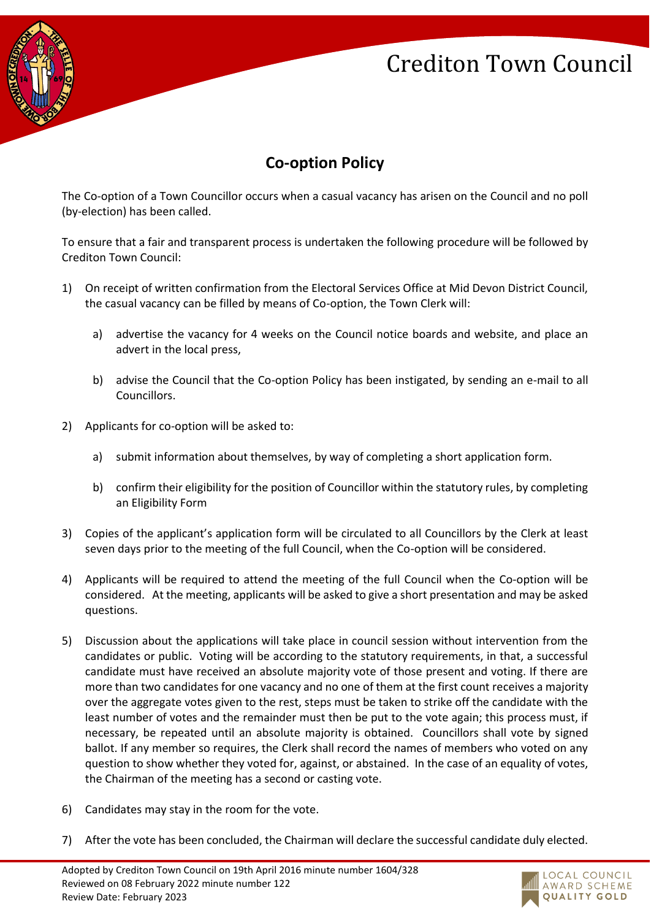# Crediton Town Council



### **Co-option Policy**

The Co-option of a Town Councillor occurs when a casual vacancy has arisen on the Council and no poll (by-election) has been called.

To ensure that a fair and transparent process is undertaken the following procedure will be followed by Crediton Town Council:

- 1) On receipt of written confirmation from the Electoral Services Office at Mid Devon District Council, the casual vacancy can be filled by means of Co-option, the Town Clerk will:
	- a) advertise the vacancy for 4 weeks on the Council notice boards and website, and place an advert in the local press,
	- b) advise the Council that the Co-option Policy has been instigated, by sending an e-mail to all Councillors.
- 2) Applicants for co-option will be asked to:
	- a) submit information about themselves, by way of completing a short application form.
	- b) confirm their eligibility for the position of Councillor within the statutory rules, by completing an Eligibility Form
- 3) Copies of the applicant's application form will be circulated to all Councillors by the Clerk at least seven days prior to the meeting of the full Council, when the Co-option will be considered.
- 4) Applicants will be required to attend the meeting of the full Council when the Co-option will be considered. At the meeting, applicants will be asked to give a short presentation and may be asked questions.
- 5) Discussion about the applications will take place in council session without intervention from the candidates or public. Voting will be according to the statutory requirements, in that, a successful candidate must have received an absolute majority vote of those present and voting. If there are more than two candidates for one vacancy and no one of them at the first count receives a majority over the aggregate votes given to the rest, steps must be taken to strike off the candidate with the least number of votes and the remainder must then be put to the vote again; this process must, if necessary, be repeated until an absolute majority is obtained. Councillors shall vote by signed ballot. If any member so requires, the Clerk shall record the names of members who voted on any question to show whether they voted for, against, or abstained. In the case of an equality of votes, the Chairman of the meeting has a second or casting vote.
- 6) Candidates may stay in the room for the vote.
- 7) After the vote has been concluded, the Chairman will declare the successful candidate duly elected.

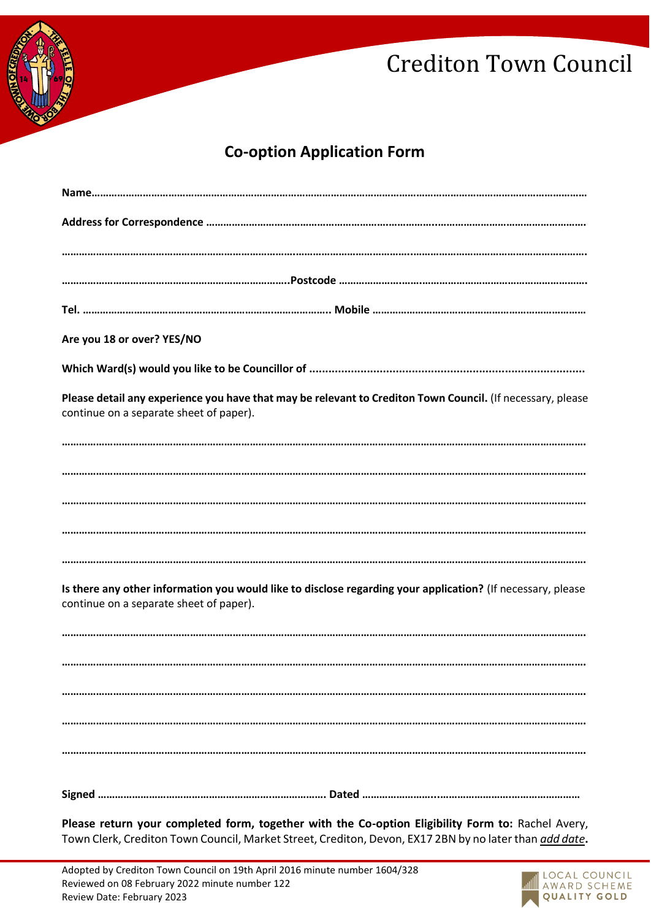

## Crediton Town Council

#### **Co-option Application Form**

| Are you 18 or over? YES/NO                                                                                                                                                                                          |
|---------------------------------------------------------------------------------------------------------------------------------------------------------------------------------------------------------------------|
|                                                                                                                                                                                                                     |
|                                                                                                                                                                                                                     |
| Please detail any experience you have that may be relevant to Crediton Town Council. (If necessary, please<br>continue on a separate sheet of paper).                                                               |
|                                                                                                                                                                                                                     |
|                                                                                                                                                                                                                     |
|                                                                                                                                                                                                                     |
|                                                                                                                                                                                                                     |
|                                                                                                                                                                                                                     |
|                                                                                                                                                                                                                     |
| Is there any other information you would like to disclose regarding your application? (If necessary, please<br>continue on a separate sheet of paper).                                                              |
|                                                                                                                                                                                                                     |
|                                                                                                                                                                                                                     |
|                                                                                                                                                                                                                     |
|                                                                                                                                                                                                                     |
|                                                                                                                                                                                                                     |
|                                                                                                                                                                                                                     |
|                                                                                                                                                                                                                     |
|                                                                                                                                                                                                                     |
| Please return your completed form, together with the Co-option Eligibility Form to: Rachel Avery,<br>Town Clerk, Crediton Town Council, Market Street, Crediton, Devon, EX17 2BN by no later than <i>add date</i> . |